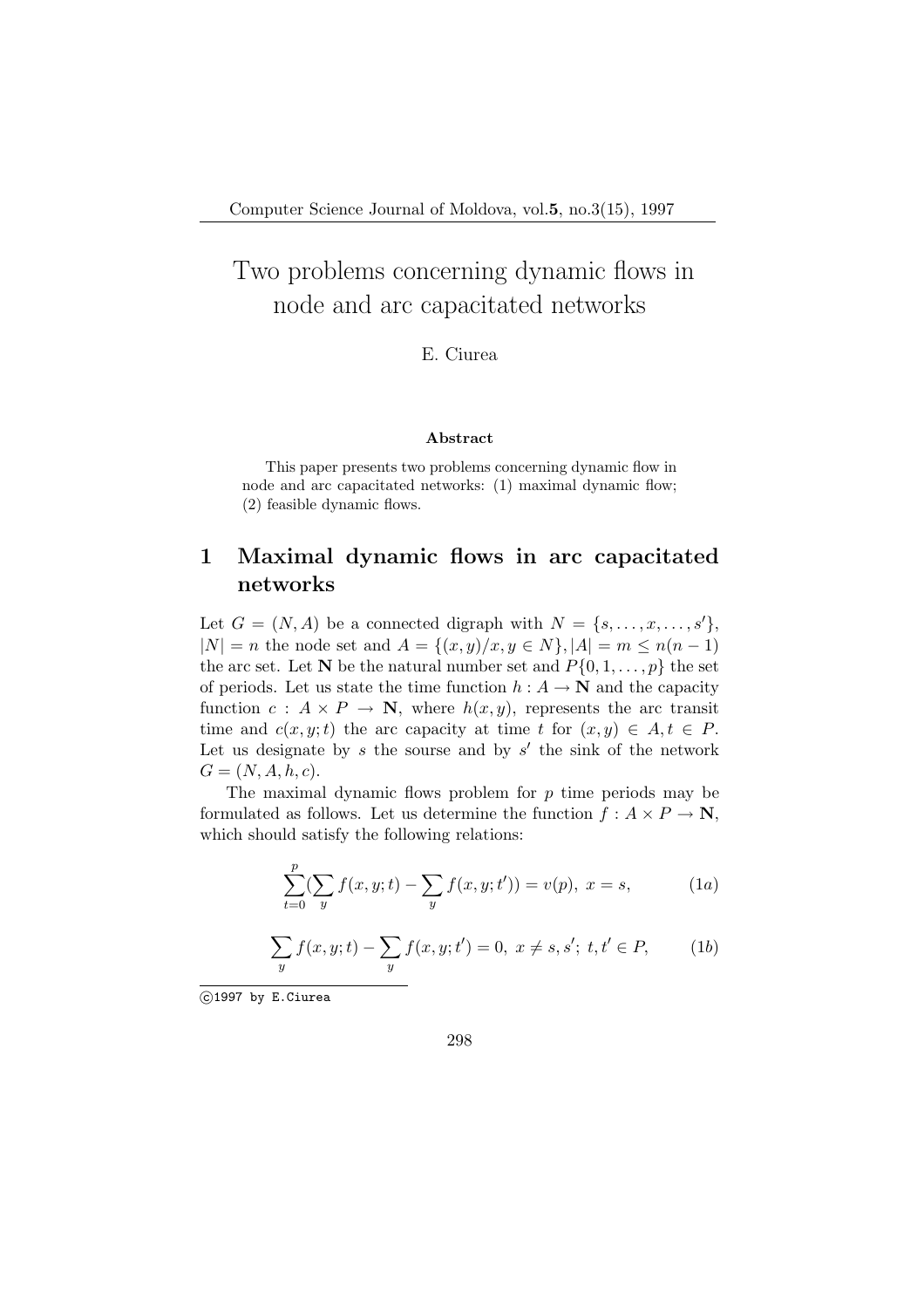# Two problems concerning dynamic flows in node and arc capacitated networks

E. Ciurea

#### Abstract

This paper presents two problems concerning dynamic flow in node and arc capacitated networks: (1) maximal dynamic flow; (2) feasible dynamic flows.

### 1 Maximal dynamic flows in arc capacitated networks

Let  $G = (N, A)$  be a connected digraph with  $N = \{s, \ldots, x, \ldots, s'\},\$  $|N| = n$  the node set and  $A = \{(x, y)/x, y \in N\}, |A| = m \leq n(n-1)$ the arc set. Let N be the natural number set and  $P\{0, 1, \ldots, p\}$  the set of periods. Let us state the time function  $h : A \to \mathbb{N}$  and the capacity function  $c : A \times P \to \mathbb{N}$ , where  $h(x, y)$ , represents the arc transit time and  $c(x, y; t)$  the arc capacity at time t for  $(x, y) \in A, t \in P$ . Let us designate by  $s$  the sourse and by  $s'$  the sink of the network  $G = (N, A, h, c).$ 

The maximal dynamic flows problem for  $p$  time periods may be formulated as follows. Let us determine the function  $f : A \times P \to \mathbb{N}$ , which should satisfy the following relations:

$$
\sum_{t=0}^{p} \left(\sum_{y} f(x, y; t) - \sum_{y} f(x, y; t')\right) = v(p), \ x = s,
$$
 (1*a*)

$$
\sum_{y} f(x, y; t) - \sum_{y} f(x, y; t') = 0, \ x \neq s, s'; \ t, t' \in P,
$$
 (1b)

°c 1997 by E.Ciurea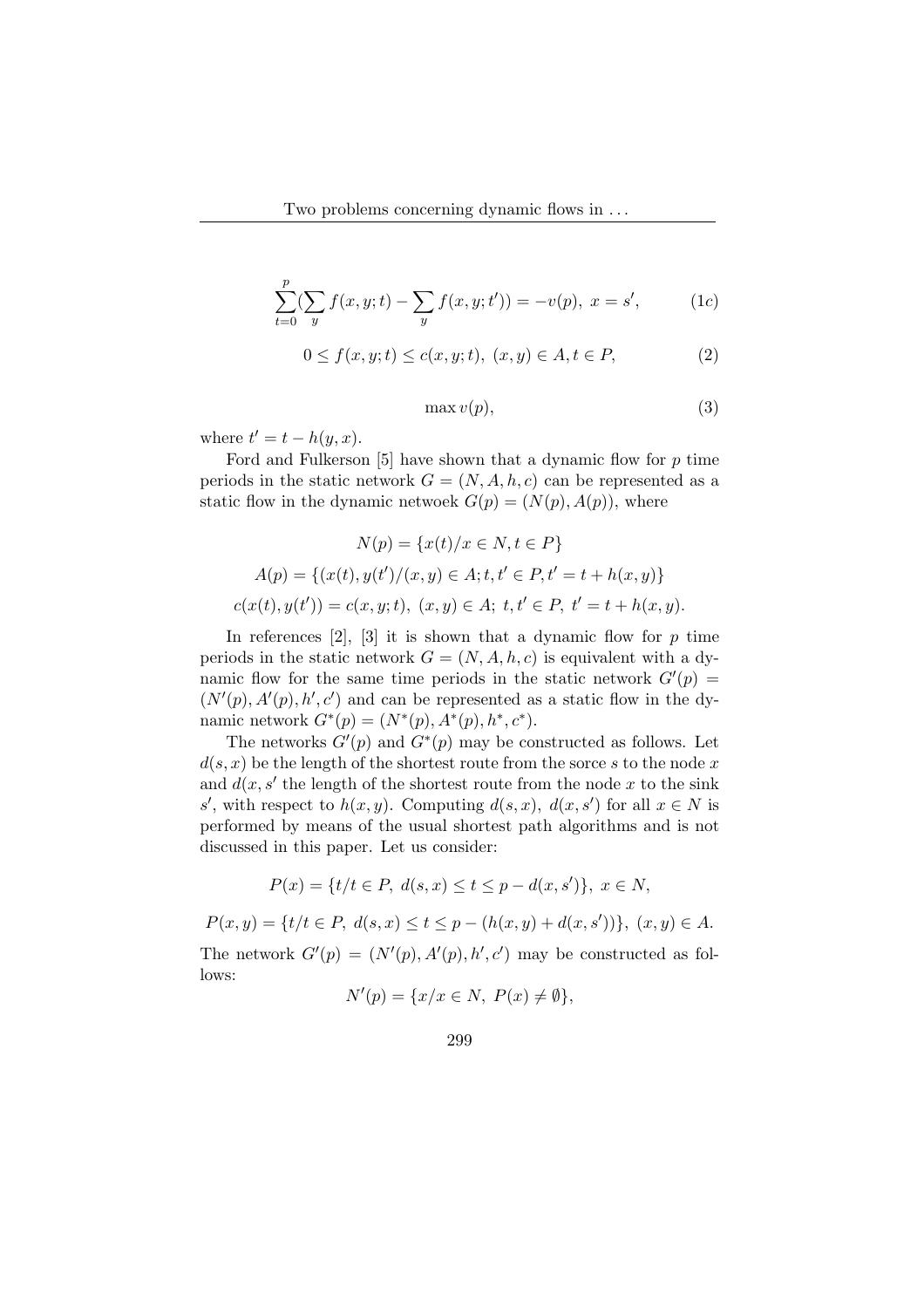$$
\sum_{t=0}^{p} \left(\sum_{y} f(x, y; t) - \sum_{y} f(x, y; t')\right) = -v(p), \ x = s', \tag{1c}
$$

$$
0 \le f(x, y; t) \le c(x, y; t), \ (x, y) \in A, t \in P,
$$
 (2)

$$
\max v(p),\tag{3}
$$

where  $t' = t - h(y, x)$ .

Ford and Fulkerson  $[5]$  have shown that a dynamic flow for p time periods in the static network  $G = (N, A, h, c)$  can be represented as a static flow in the dynamic netwoek  $G(p) = (N(p), A(p))$ , where

$$
N(p) = \{x(t)/x \in N, t \in P\}
$$
  
\n
$$
A(p) = \{(x(t), y(t')/(x, y) \in A; t, t' \in P, t' = t + h(x, y)\}
$$
  
\n
$$
c(x(t), y(t')) = c(x, y; t), (x, y) \in A; t, t' \in P, t' = t + h(x, y).
$$

In references  $[2]$ ,  $[3]$  it is shown that a dynamic flow for p time periods in the static network  $G = (N, A, h, c)$  is equivalent with a dynamic flow for the same time periods in the static network  $G'(p) =$  $(N'(p), A'(p), h', c')$  and can be represented as a static flow in the dynamic network  $G^*(p) = (N^*(p), A^*(p), h^*, c^*).$ 

The networks  $G'(p)$  and  $G^*(p)$  may be constructed as follows. Let  $d(s, x)$  be the length of the shortest route from the sorce s to the node x and  $d(x, s'$  the length of the shortest route from the node x to the sink s', with respect to  $h(x, y)$ . Computing  $d(s, x)$ ,  $d(x, s')$  for all  $x \in N$  is performed by means of the usual shortest path algorithms and is not discussed in this paper. Let us consider:

$$
P(x) = \{t/t \in P, \ d(s,x) \le t \le p - d(x,s')\}, \ x \in N,
$$

 $P(x,y) = \{t/t \in P, d(s,x) \le t \le p - (h(x,y) + d(x,s'))\}, (x,y) \in A.$ 

The network  $G'(p) = (N'(p), A'(p), h', c')$  may be constructed as follows:

$$
N'(p) = \{x/x \in N, P(x) \neq \emptyset\},\
$$

$$
299\,
$$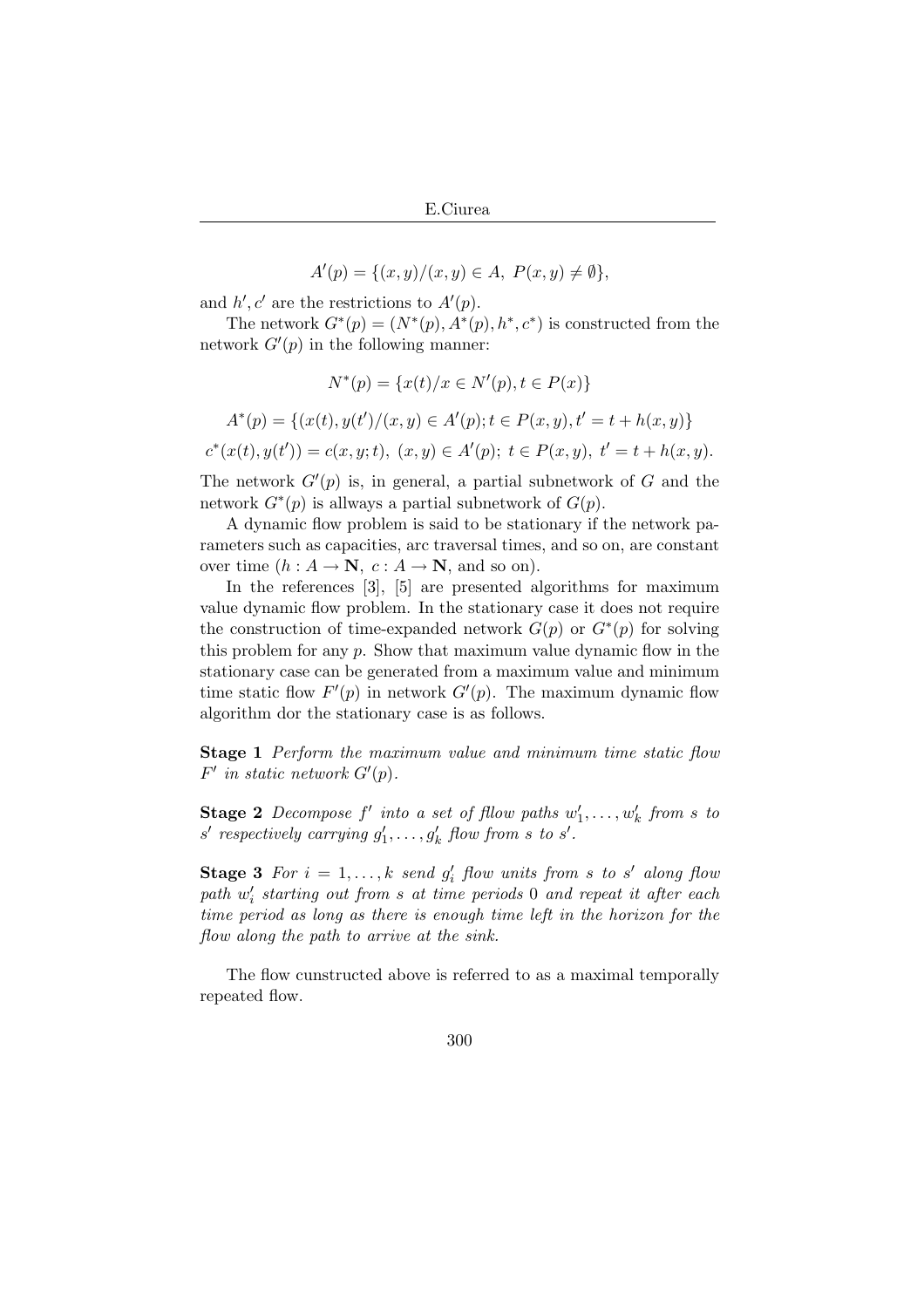$$
A'(p) = \{(x, y)/(x, y) \in A, \ P(x, y) \neq \emptyset\},\
$$

and  $h', c'$  are the restrictions to  $A'(p)$ .

The network  $G^*(p) = (N^*(p), A^*(p), h^*, c^*)$  is constructed from the network  $G'(p)$  in the following manner:

$$
N^*(p) = \{x(t)/x \in N'(p), t \in P(x)\}
$$

$$
A^*(p) = \{(x(t), y(t')/(x, y) \in A'(p); t \in P(x, y), t' = t + h(x, y)\}\
$$

$$
c^*(x(t), y(t')) = c(x, y; t), \ (x, y) \in A'(p); \ t \in P(x, y), \ t' = t + h(x, y).
$$

The network  $G'(p)$  is, in general, a partial subnetwork of G and the network  $G^*(p)$  is allways a partial subnetwork of  $G(p)$ .

A dynamic flow problem is said to be stationary if the network parameters such as capacities, arc traversal times, and so on, are constant over time  $(h: A \to \mathbb{N}, c: A \to \mathbb{N}, \text{ and so on}).$ 

In the references [3], [5] are presented algorithms for maximum value dynamic flow problem. In the stationary case it does not require the construction of time-expanded network  $G(p)$  or  $G^*(p)$  for solving this problem for any  $p$ . Show that maximum value dynamic flow in the stationary case can be generated from a maximum value and minimum time static flow  $F'(p)$  in network  $G'(p)$ . The maximum dynamic flow algorithm dor the stationary case is as follows.

**Stage 1** Perform the maximum value and minimum time static flow  $F'$  in static network  $G'(p)$ .

**Stage 2** Decompose  $f'$  into a set of fllow paths  $w'_1, \ldots, w'_k$  from s to  $s'$  respectively carrying  $g'_1, \ldots, g'_k$  flow from s to  $s'.$ 

**Stage 3** For  $i = 1, ..., k$  send  $g'_i$  flow units from s to s' along flow  $path w'_{i}$  starting out from s at time periods 0 and repeat it after each time period as long as there is enough time left in the horizon for the flow along the path to arrive at the sink.

The flow cunstructed above is referred to as a maximal temporally repeated flow.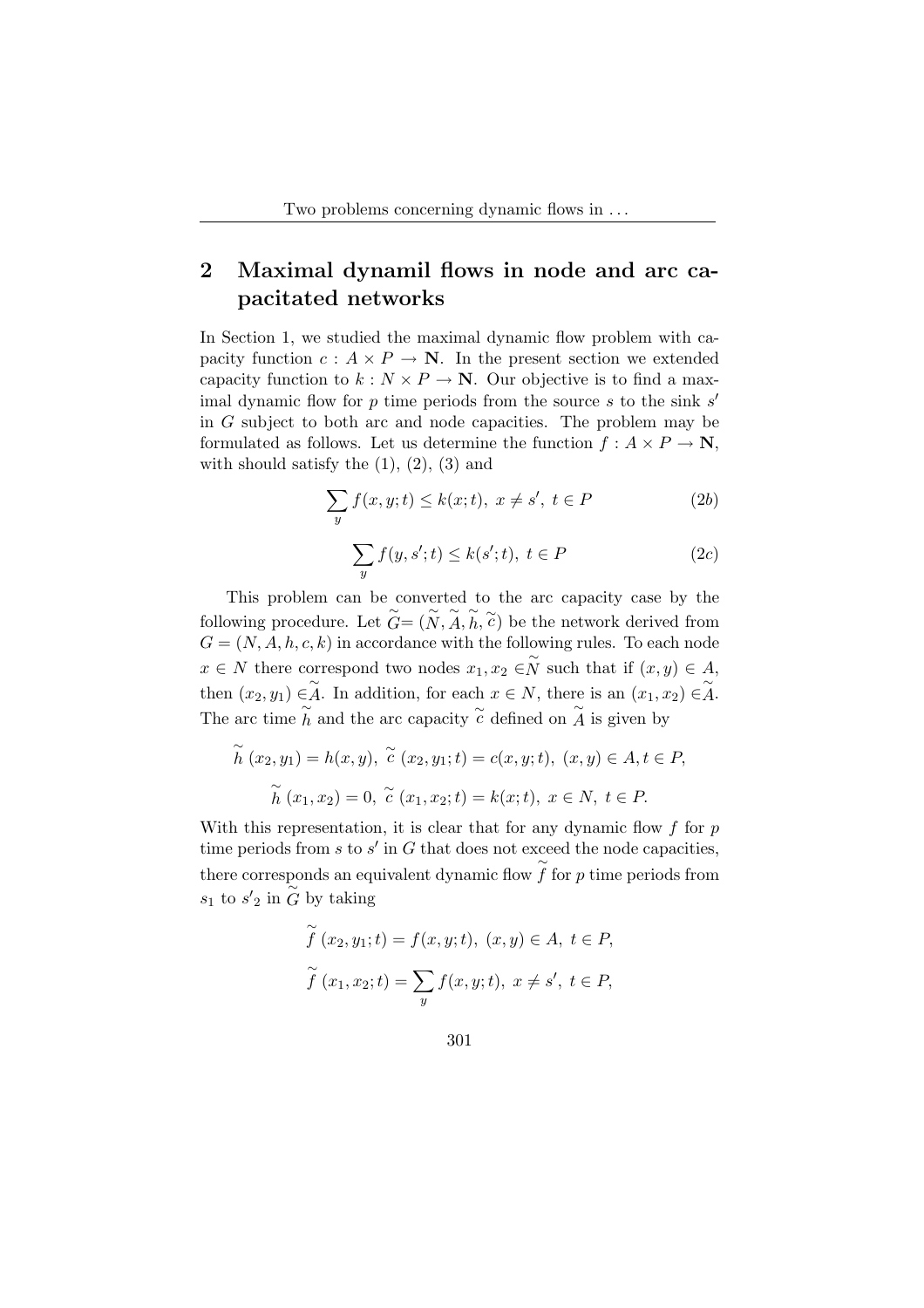## 2 Maximal dynamil flows in node and arc capacitated networks

In Section 1, we studied the maximal dynamic flow problem with capacity function  $c: A \times P \to \mathbb{N}$ . In the present section we extended capacity function to  $k : N \times P \to \mathbb{N}$ . Our objective is to find a maximal dynamic flow for  $p$  time periods from the source  $s$  to the sink  $s'$ in G subject to both arc and node capacities. The problem may be formulated as follows. Let us determine the function  $f: A \times P \to \mathbb{N}$ , with should satisfy the  $(1)$ ,  $(2)$ ,  $(3)$  and

$$
\sum_{y} f(x, y; t) \le k(x; t), \ x \ne s', \ t \in P \tag{2b}
$$

$$
\sum_{y} f(y, s'; t) \le k(s'; t), \ t \in P \tag{2c}
$$

This problem can be converted to the arc capacity case by the following procedure. Let  $\widetilde{G} = (\widetilde{N}, \widetilde{A}, \widetilde{h}, \widetilde{c})$  be the network derived from  $G = (N, A, h, c, k)$  in accordance with the following rules. To each node  $x \in N$  there correspond two nodes  $x_1, x_2 \in \widetilde{N}$  such that if  $(x, y) \in A$ , then  $(x_2, y_1) \in \widetilde{A}$ . In addition, for each  $x \in N$ , there is an  $(x_1, x_2) \in \widetilde{A}$ . The arc time  $\tilde{h}$  and the arc capacity  $\tilde{c}$  defined on  $\tilde{A}$  is given by

$$
\widetilde{h}(x_2, y_1) = h(x, y), \ \widetilde{c}(x_2, y_1; t) = c(x, y; t), \ (x, y) \in A, t \in P,
$$

$$
\widetilde{h}(x_1, x_2) = 0, \ \widetilde{c}(x_1, x_2; t) = k(x; t), \ x \in N, \ t \in P.
$$

With this representation, it is clear that for any dynamic flow  $f$  for  $p$ time periods from  $s$  to  $s'$  in  $G$  that does not exceed the node capacities, there corresponds an equivalent dynamic flow  $\tilde{f}$  for p time periods from  $s_1$  to  $s'_2$  in  $\overline{\overset{\sim}{G}}$  by taking

$$
\widetilde{f}(x_2, y_1; t) = f(x, y; t), (x, y) \in A, t \in P,
$$
  

$$
\widetilde{f}(x_1, x_2; t) = \sum_{y} f(x, y; t), x \neq s', t \in P,
$$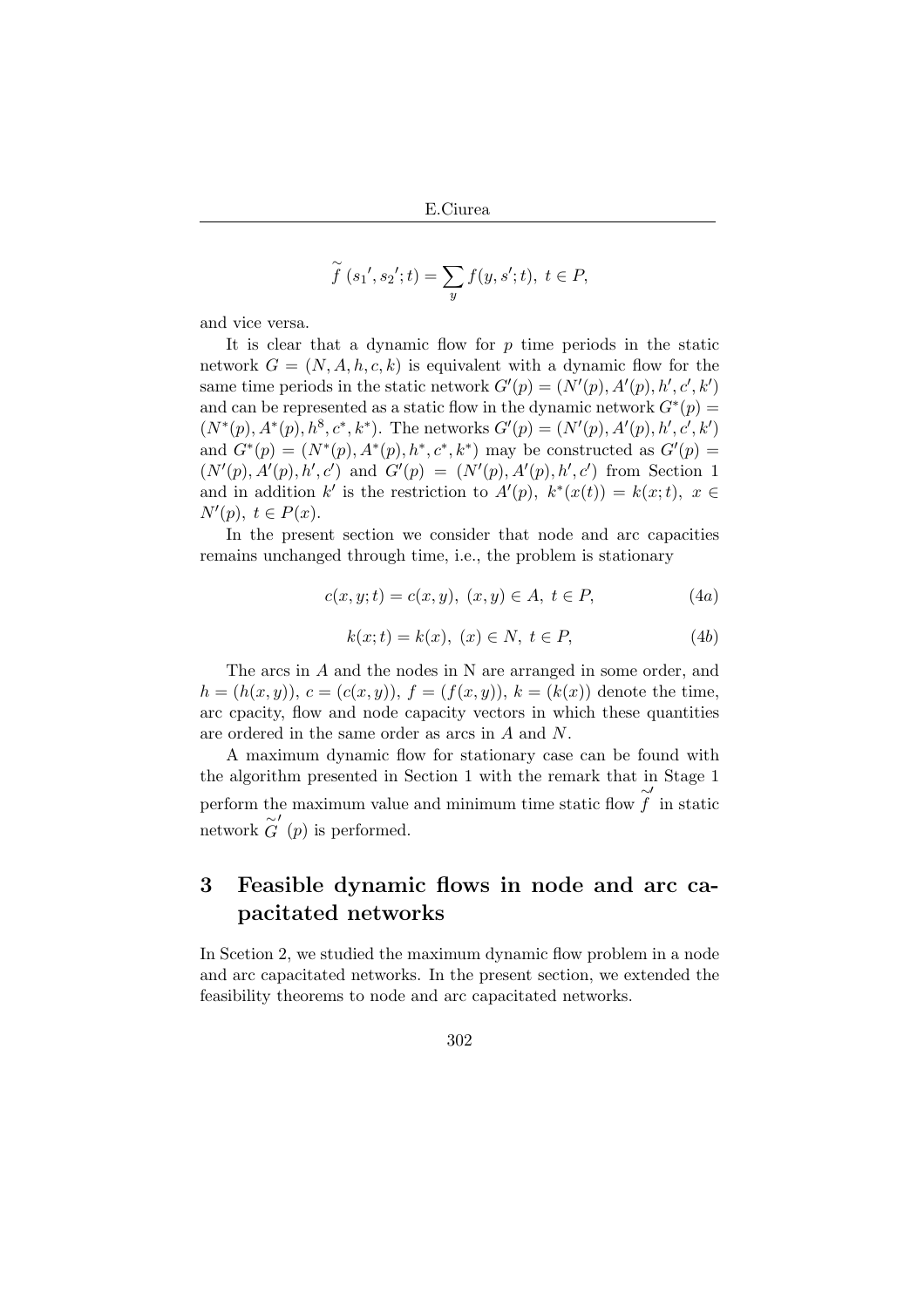E.Ciurea

$$
\widetilde{f}(s_1', s_2'; t) = \sum_{y} f(y, s'; t), \ t \in P,
$$

and vice versa.

It is clear that a dynamic flow for  $p$  time periods in the static network  $G = (N, A, h, c, k)$  is equivalent with a dynamic flow for the same time periods in the static network  $G'(p) = (N'(p), A'(p), h', c', k')$ and can be represented as a static flow in the dynamic network  $G^*(p)$  =  $(N^*(p), A^*(p), h^8, c^*, k^*)$ . The networks  $G'(p) = (N'(p), A'(p), h', c', k')$ and  $G^*(p) = (N^*(p), A^*(p), h^*, c^*, k^*)$  may be constructed as  $G'(p) =$  $(N'(p), A'(p), h', c')$  and  $G'(p) = (N'(p), A'(p), h', c')$  from Section 1 and in addition k' is the restriction to  $A'(p)$ ,  $k^*(x(t)) = k(x;t)$ ,  $x \in$  $N'(p), t \in P(x).$ 

In the present section we consider that node and arc capacities remains unchanged through time, i.e., the problem is stationary

$$
c(x, y; t) = c(x, y), (x, y) \in A, t \in P,
$$
\n(4a)

$$
k(x; t) = k(x), \ (x) \in N, \ t \in P,
$$
 (4b)

The arcs in A and the nodes in N are arranged in some order, and  $h = (h(x, y)), c = (c(x, y)), f = (f(x, y)), k = (k(x))$  denote the time, arc cpacity, flow and node capacity vectors in which these quantities are ordered in the same order as arcs in A and N.

A maximum dynamic flow for stationary case can be found with the algorithm presented in Section 1 with the remark that in Stage 1 perform the maximum value and minimum time static flow  $\widetilde{f}$  $\prime$ in static network  $\widetilde{G}'(p)$  is performed.

### 3 Feasible dynamic flows in node and arc capacitated networks

In Scetion 2, we studied the maximum dynamic flow problem in a node and arc capacitated networks. In the present section, we extended the feasibility theorems to node and arc capacitated networks.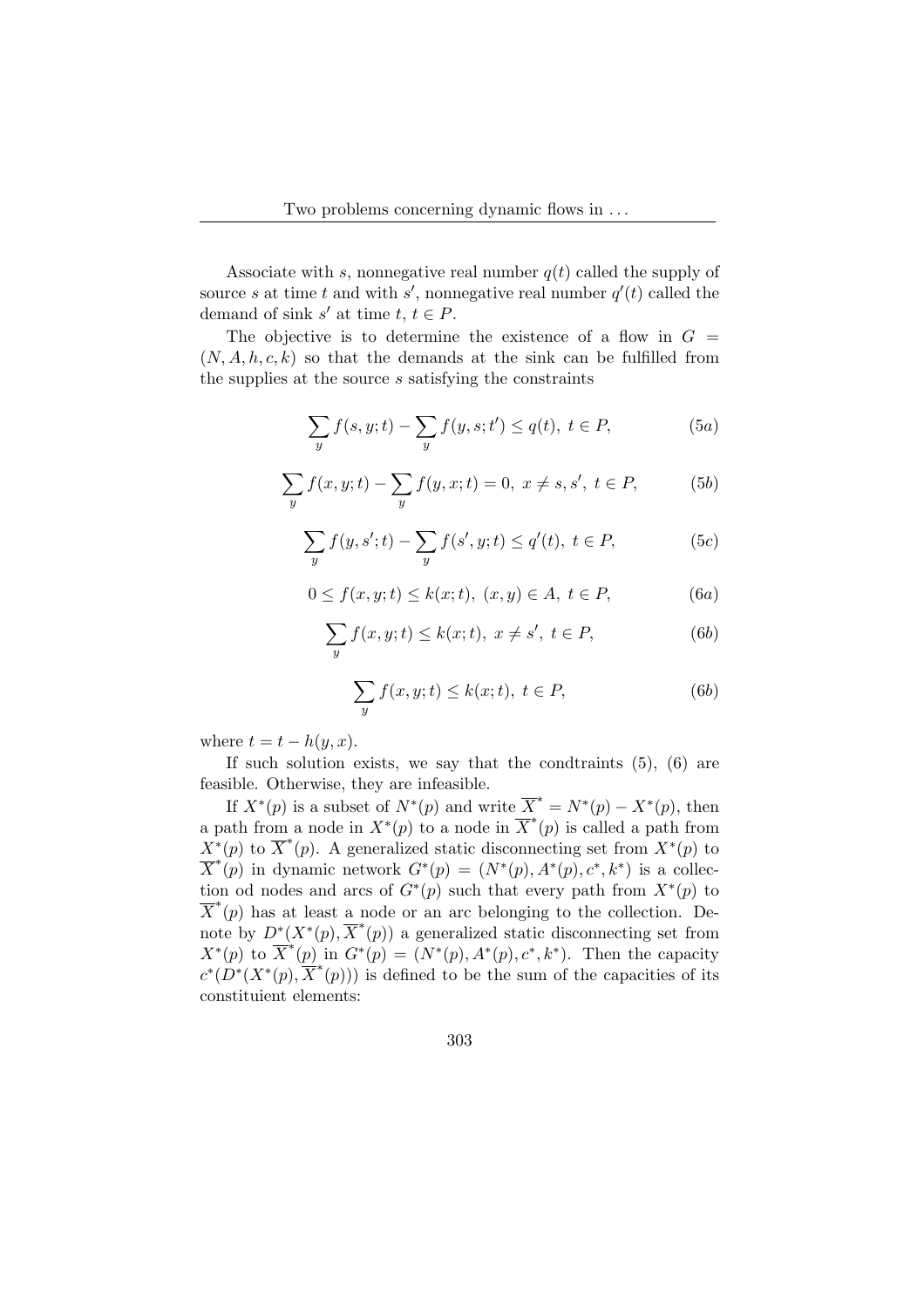Associate with s, nonnegative real number  $q(t)$  called the supply of source s at time t and with s', nonnegative real number  $q'(t)$  called the demand of sink s' at time  $t, t \in P$ .

The objective is to determine the existence of a flow in  $G =$  $(N, A, h, c, k)$  so that the demands at the sink can be fulfilled from the supplies at the source s satisfying the constraints

$$
\sum_{y} f(s, y; t) - \sum_{y} f(y, s; t') \le q(t), \ t \in P,
$$
 (5a)

$$
\sum_{y} f(x, y; t) - \sum_{y} f(y, x; t) = 0, \ x \neq s, s', \ t \in P,
$$
 (5b)

$$
\sum_{y} f(y, s'; t) - \sum_{y} f(s', y; t) \le q'(t), \ t \in P,
$$
 (5c)

$$
0 \le f(x, y; t) \le k(x; t), \ (x, y) \in A, \ t \in P,
$$
 (6a)

$$
\sum_{y} f(x, y; t) \le k(x; t), \ x \ne s', \ t \in P,
$$
\n(6b)

$$
\sum_{y} f(x, y; t) \le k(x; t), \ t \in P,\tag{6b}
$$

where  $t = t - h(y, x)$ .

If such solution exists, we say that the condtraints  $(5)$ ,  $(6)$  are feasible. Otherwise, they are infeasible.

If  $X^*(p)$  is a subset of  $N^*(p)$  and write  $\overline{X}^* = N^*(p) - X^*(p)$ , then a path from a node in  $X^*(p)$  to a node in  $\overline{X}^*(p)$  is called a path from  $X^*(p)$  to  $\overline{X}^*(p)$ . A generalized static disconnecting set from  $X^*(p)$  to  $\overline{X}^*(p)$  in dynamic network  $G^*(p) = (N^*(p), A^*(p), c^*, k^*)$  is a collection od nodes and arcs of  $G^*(p)$  such that every path from  $X^*(p)$  to  $\overline{X}^*(p)$  has at least a node or an arc belonging to the collection. Denote by  $D^*(X^*(p), \overline{X}^*(p))$  a generalized static disconnecting set from  $X^*(p)$  to  $\overline{X}^*(p)$  in  $G^*(p) = (N^*(p), A^*(p), c^*, k^*)$ . Then the capacity  $c^*(D^*(X^*(p), \overline{X}^*(p)))$  is defined to be the sum of the capacities of its constituient elements: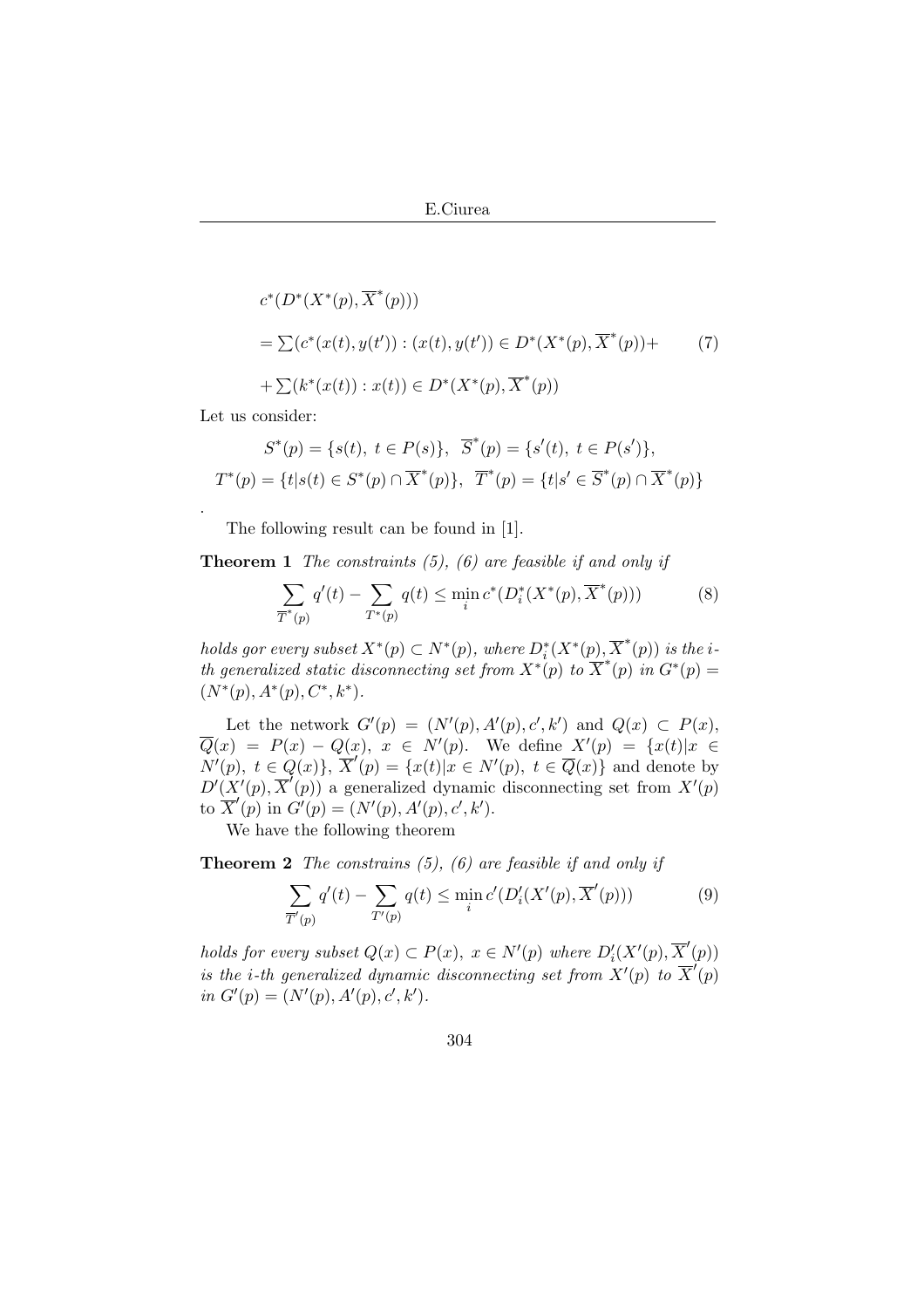$$
c^*(D^*(X^*(p), \overline{X}^*(p)))
$$
  
=  $\sum (c^*(x(t), y(t')) : (x(t), y(t')) \in D^*(X^*(p), \overline{X}^*(p)) +$   
+  $\sum (k^*(x(t)) : x(t)) \in D^*(X^*(p), \overline{X}^*(p))$  (7)

Let us consider:

.

$$
S^*(p) = \{s(t), t \in P(s)\}, \overline{S}^*(p) = \{s'(t), t \in P(s')\},\
$$

$$
T^*(p) = \{t|s(t) \in S^*(p) \cap \overline{X}^*(p)\}, \overline{T}^*(p) = \{t|s' \in \overline{S}^*(p) \cap \overline{X}^*(p)\}
$$

The following result can be found in [1].

**Theorem 1** The constraints  $(5)$ ,  $(6)$  are feasible if and only if

$$
\sum_{\overline{T}^*(p)} q'(t) - \sum_{T^*(p)} q(t) \le \min_i c^*(D_i^*(X^*(p), \overline{X}^*(p)))
$$
\n(8)

holds gor every subset  $X^*(p) \subset N^*(p)$ , where  $D_i^*(X^*(p), \overline{X}^*(p))$  is the ith generalized static disconnecting set from  $X^*(p)$  to  $\overline{X}^*(p)$  in  $G^*(p)$  =  $(N^*(p), A^*(p), C^*, k^*).$ 

Let the network  $G'(p) = (N'(p), A'(p), c', k')$  and  $Q(x) \subset P(x)$ ,  $\overline{Q}(x) = P(x) - Q(x), x \in N'(p)$ . We define  $X'(p) = \{x(t)|x \in$  $N'(p)$ ,  $t \in Q(x)$ ,  $\overline{X}'(p) = \{x(t)|x \in N'(p), t \in \overline{Q}(x)\}\$ and denote by  $D'(X'(p), \overline{X}'(p))$  a generalized dynamic disconnecting set from  $X'(p)$ to  $\overline{X}'(p)$  in  $G'(p) = (N'(p), A'(p), c', k').$ 

We have the following theorem

**Theorem 2** The constrains  $(5)$ ,  $(6)$  are feasible if and only if

$$
\sum_{\overline{T}'(p)} q'(t) - \sum_{T'(p)} q(t) \le \min_i c'(D'_i(X'(p), \overline{X}'(p)))
$$
\n(9)

holds for every subset  $Q(x) \subset P(x)$ ,  $x \in N'(p)$  where  $D'_{i}(X'(p), \overline{X}'(p))$ is the *i*-th generalized dynamic disconnecting set from  $X'(p)$  to  $\overline{X}'(p)$ in  $G'(p) = (N'(p), A'(p), c', k').$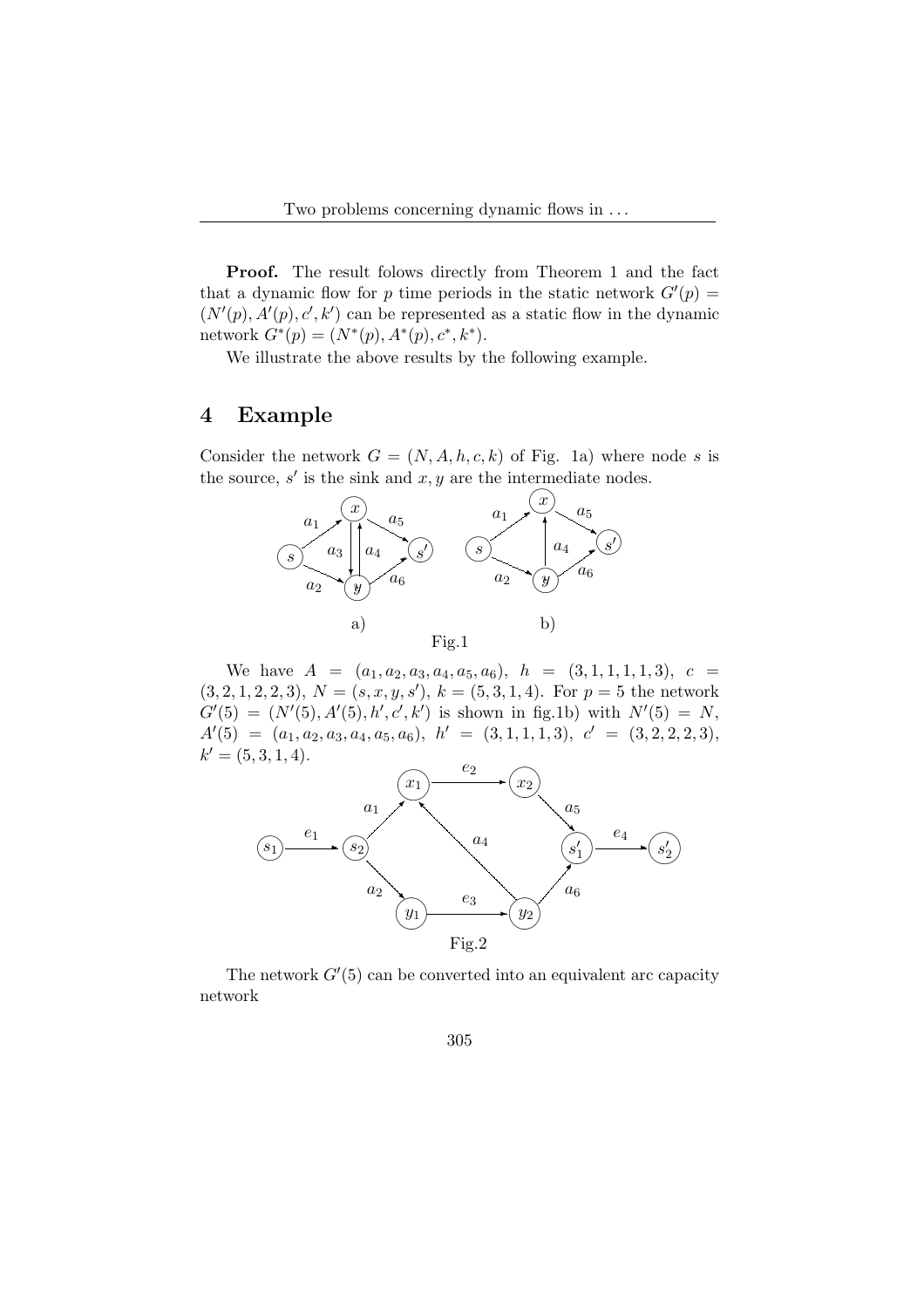Proof. The result folows directly from Theorem 1 and the fact that a dynamic flow for p time periods in the static network  $G'(p) =$  $(N'(p), A'(p), c', k')$  can be represented as a static flow in the dynamic network  $G^*(p) = (N^*(p), A^*(p), c^*, k^*).$ 

We illustrate the above results by the following example.

#### 4 Example

Consider the network  $G = (N, A, h, c, k)$  of Fig. 1a) where node s is the source,  $s'$  is the sink and  $x, y$  are the intermediate nodes.



We have  $A = (a_1, a_2, a_3, a_4, a_5, a_6), h = (3, 1, 1, 1, 1, 3), c =$  $(3, 2, 1, 2, 2, 3), N = (s, x, y, s'), k = (5, 3, 1, 4).$  For  $p = 5$  the network  $G'(5) = (N'(5), A'(5), h', c', k')$  is shown in fig.1b) with  $N'(5) = N$ ,  $A'(5) = (a_1, a_2, a_3, a_4, a_5, a_6), h' = (3, 1, 1, 1, 3), c' = (3, 2, 2, 2, 3),$  $k' = (5, 3, 1, 4).$  $\sim$ 



The network  $G'(5)$  can be converted into an equivalent arc capacity network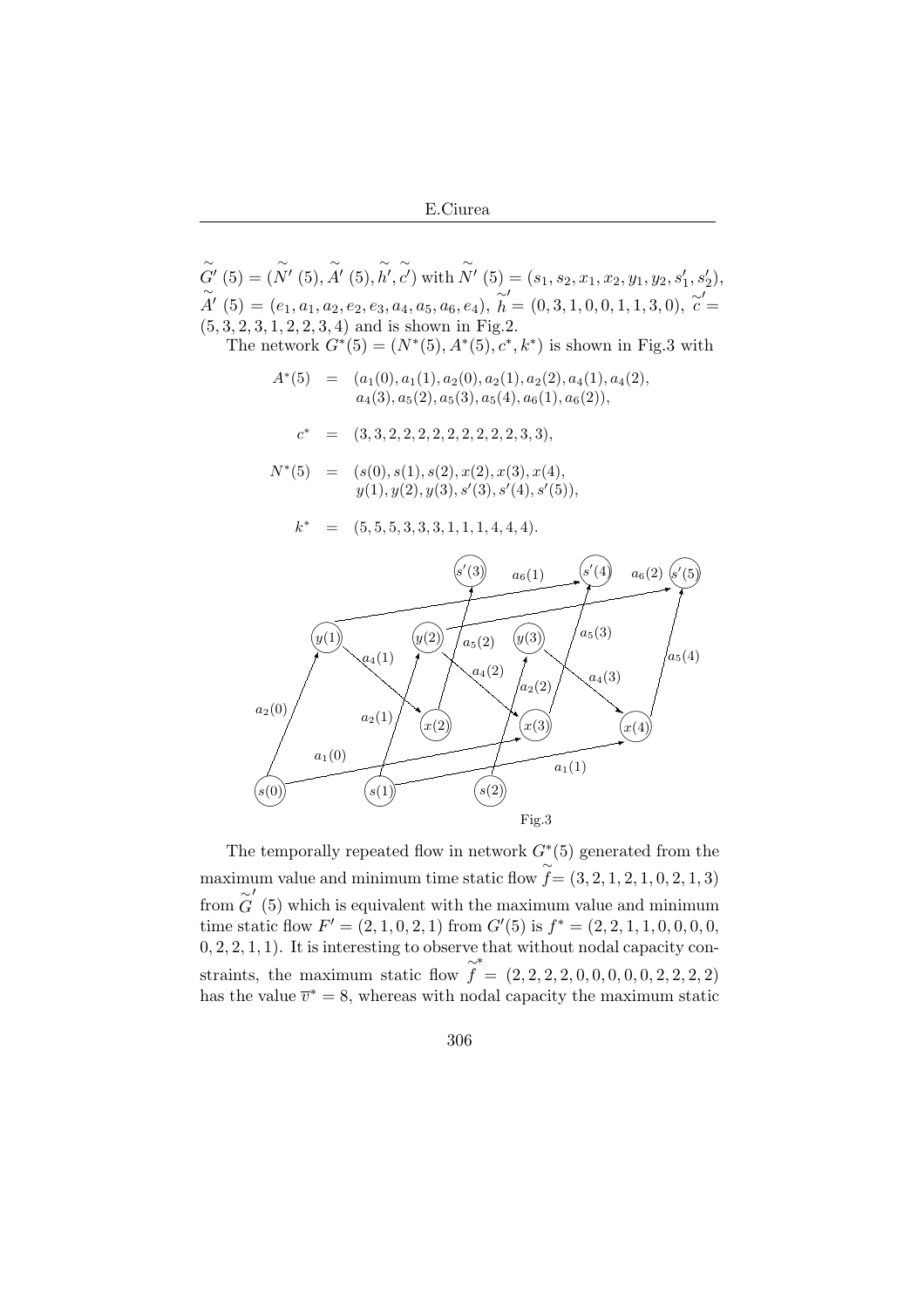E.Ciurea

$$
\widetilde{G}'(5) = (\widetilde{N}'(5), \widetilde{A}'(5), \widetilde{h}', \widetilde{c}') \text{ with } \widetilde{N}'(5) = (s_1, s_2, x_1, x_2, y_1, y_2, s'_1, s'_2),
$$
  
\n
$$
\widetilde{A}'(5) = (e_1, a_1, a_2, e_2, e_3, a_4, a_5, a_6, e_4), \widetilde{h}' = (0, 3, 1, 0, 0, 1, 1, 3, 0), \widetilde{c}' = (5, 3, 2, 3, 1, 2, 2, 3, 4) \text{ and is shown in Fig.2.}
$$
  
\nThe network  $G^*(5) = (N^*(5), A^*(5), c^*, k^*)$  is shown in Fig.3 with  
\n
$$
A^*(5) = (a_1(0), a_1(1), a_2(0), a_2(1), a_2(2), a_4(1), a_4(2), a_4(3), a_5(2), a_5(3), a_5(4), a_6(1), a_6(2)),
$$
  
\n
$$
c^* = (3, 3, 2, 2, 2, 2, 2, 2, 2, 2, 2, 3, 3),
$$
  
\n
$$
N^*(5) = (s(0), s(1), s(2), x(2), x(3), x(4), s'(5)),
$$
  
\n
$$
k^* = (5, 5, 5, 3, 3, 3, 1, 1, 1, 4, 4, 4).
$$
  
\n
$$
\widetilde{S}'(3) = a_6(1)
$$
  
\n
$$
\widetilde{S}'(4) = a_6(2) \widetilde{S}'(5)
$$
  
\n
$$
a_2(0)
$$
  
\n
$$
a_2(1)
$$
  
\n
$$
\widetilde{S}(2)
$$
  
\n
$$
a_1(1)
$$
  
\n
$$
\widetilde{S}(3)
$$
  
\n
$$
a_2(1)
$$
  
\n
$$
\widetilde{S}(4)
$$
  
\n
$$
a_2(1)
$$
  
\n
$$
\widetilde{S}(2)
$$
  
\nFig.3

The temporally repeated flow in network  $G<sup>*</sup>(5)$  generated from the maximum value and minimum time static flow  $f = (3, 2, 1, 2, 1, 0, 2, 1, 3)$ from  $\widetilde{G}'$  (5) which is equivalent with the maximum value and minimum time static flow  $F' = (2, 1, 0, 2, 1)$  from  $G'(5)$  is  $f^* = (2, 2, 1, 1, 0, 0, 0, 0, 0, 0)$  $(0, 2, 2, 1, 1)$ . It is interesting to observe that without nodal capacity constraints, the maximum static flow  $\tilde{f}$ ∗  $=(2, 2, 2, 2, 0, 0, 0, 0, 0, 2, 2, 2, 2)$ has the value  $\overline{v}^* = 8$ , whereas with nodal capacity the maximum static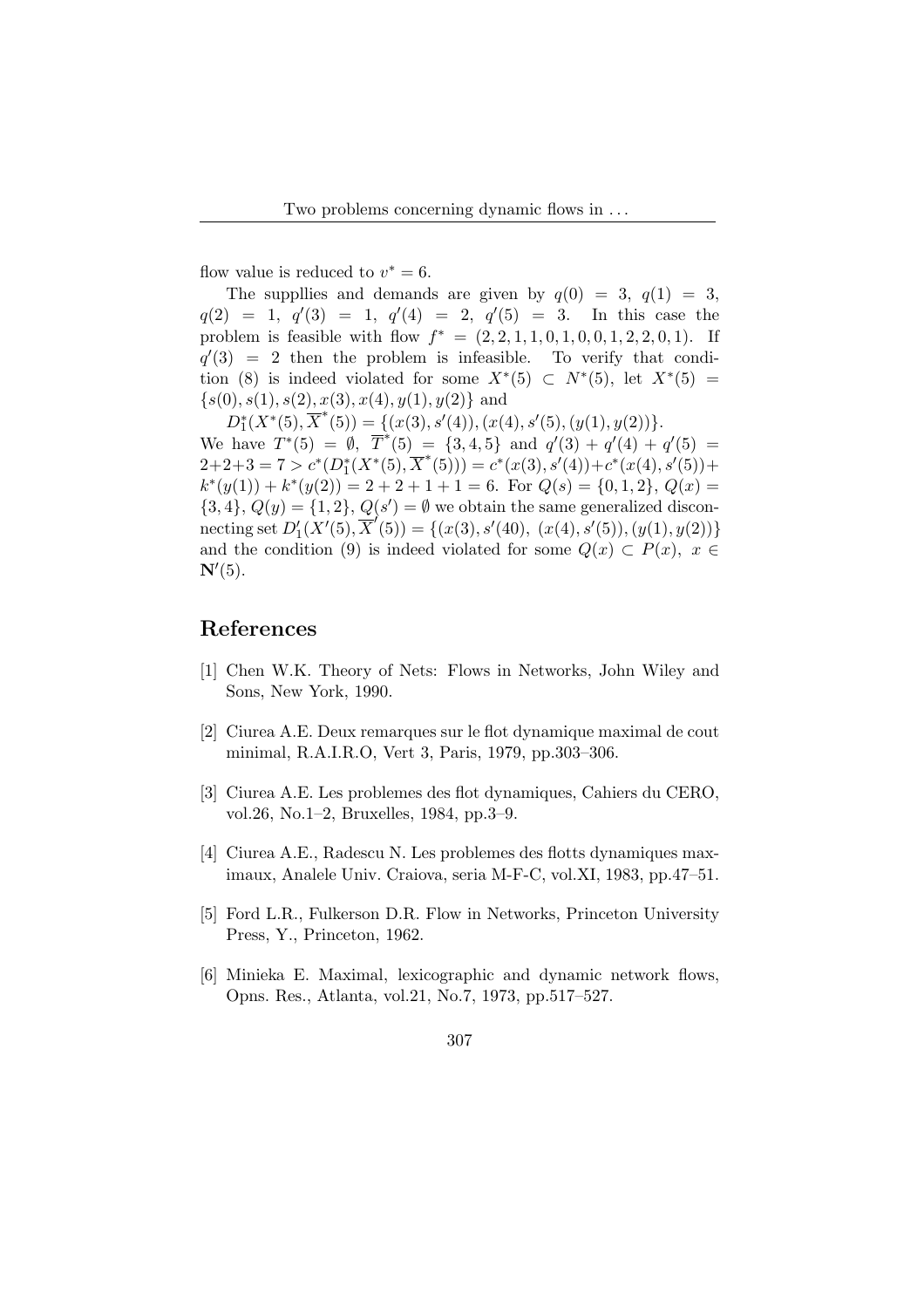flow value is reduced to  $v^* = 6$ .

The suppllies and demands are given by  $q(0) = 3$ ,  $q(1) = 3$ ,  $q(2) = 1, q'(3) = 1, q'(4) = 2, q'(5) = 3.$  In this case the problem is feasible with flow  $f^* = (2, 2, 1, 1, 0, 1, 0, 0, 1, 2, 2, 0, 1)$ . If  $q'(3) = 2$  then the problem is infeasible. To verify that condition (8) is indeed violated for some  $X^*(5) \subset N^*(5)$ , let  $X^*(5) =$  $\{s(0), s(1), s(2), x(3), x(4), y(1), y(2)\}\$ and

 $D_1^*(X^*(5), \overline{X}^*(5)) = \{(x(3), s'(4)), (x(4), s'(5), (y(1), y(2))\}.$ We have  $T^*(5) = \emptyset$ ,  $\overline{T}^*(5) = \{3, 4, 5\}$  and  $q'(3) + q'(4) + q'(5) =$  $2+2+3=7>c^*(D_1^*(X^*(5),\overline{X}^*(5)))=c^*(x(3),s'(4))+c^*(x(4),s'(5))+$  $k^*(y(1)) + k^*(y(2)) = 2 + 2 + 1 + 1 = 6$ . For  $Q(s) = \{0, 1, 2\}, Q(x) =$  $\{3,4\}, Q(y) = \{1,2\}, Q(s') = \emptyset$  we obtain the same generalized disconnecting set  $D'_1(X'(5), \mathbf{\overline{X}}'(5)) = \{(x(3), s'(40), (x(4), s'(5)), (y(1), y(2))\}$ and the condition (9) is indeed violated for some  $Q(x) \subset P(x)$ ,  $x \in$  $\mathbf{N}'(5)$ .

#### References

- [1] Chen W.K. Theory of Nets: Flows in Networks, John Wiley and Sons, New York, 1990.
- [2] Ciurea A.E. Deux remarques sur le flot dynamique maximal de cout minimal, R.A.I.R.O, Vert 3, Paris, 1979, pp.303–306.
- [3] Ciurea A.E. Les problemes des flot dynamiques, Cahiers du CERO, vol.26, No.1–2, Bruxelles, 1984, pp.3–9.
- [4] Ciurea A.E., Radescu N. Les problemes des flotts dynamiques maximaux, Analele Univ. Craiova, seria M-F-C, vol.XI, 1983, pp.47–51.
- [5] Ford L.R., Fulkerson D.R. Flow in Networks, Princeton University Press, Y., Princeton, 1962.
- [6] Minieka E. Maximal, lexicographic and dynamic network flows, Opns. Res., Atlanta, vol.21, No.7, 1973, pp.517–527.